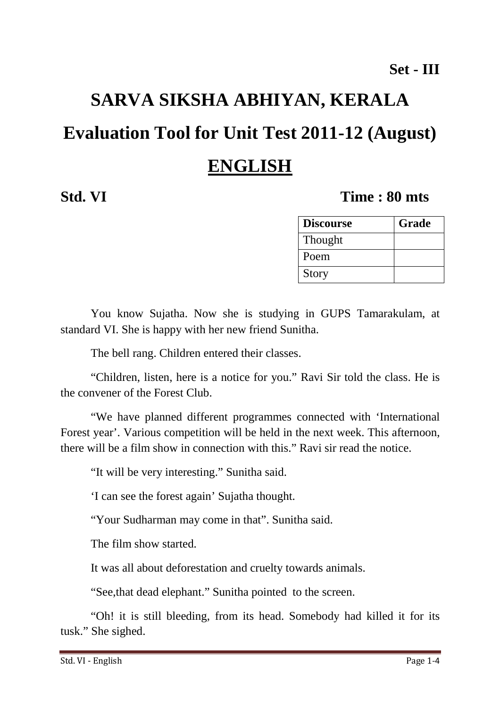# **SARVA SIKSHA ABHIYAN, KERALA Evaluation Tool for Unit Test 2011-12 (August) ENGLISH**

#### **Std. VI Time : 80 mts**

| <b>Discourse</b> | Grade |
|------------------|-------|
| Thought          |       |
| Poem             |       |
| <b>Story</b>     |       |

You know Sujatha. Now she is studying in GUPS Tamarakulam, at standard VI. She is happy with her new friend Sunitha.

The bell rang. Children entered their classes.

"Children, listen, here is a notice for you." Ravi Sir told the class. He is the convener of the Forest Club.

"We have planned different programmes connected with 'International Forest year'. Various competition will be held in the next week. This afternoon, there will be a film show in connection with this." Ravi sir read the notice.

"It will be very interesting." Sunitha said.

'I can see the forest again' Sujatha thought.

"Your Sudharman may come in that". Sunitha said.

The film show started.

It was all about deforestation and cruelty towards animals.

"See,that dead elephant." Sunitha pointed to the screen.

"Oh! it is still bleeding, from its head. Somebody had killed it for its tusk." She sighed.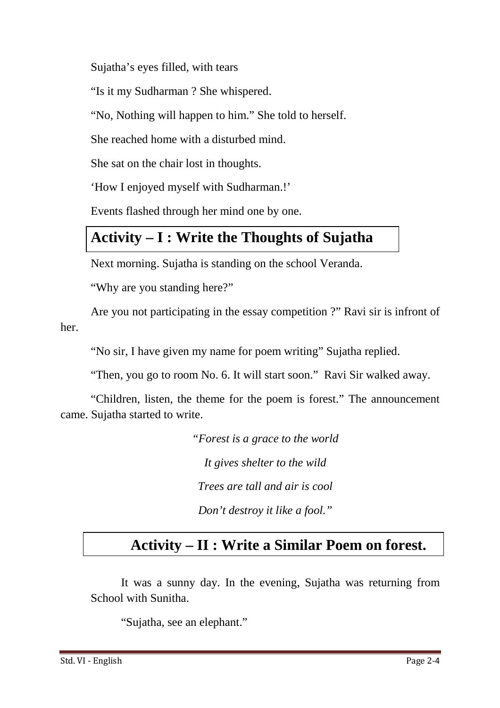Sujatha's eyes filled, with tears

"Is it my Sudharman ? She whispered.

"No, Nothing will happen to him." She told to herself.

She reached home with a disturbed mind.

She sat on the chair lost in thoughts.

'How I enjoyed myself with Sudharman.!'

Events flashed through her mind one by one.

# **Activity – I : Write the Thoughts of Sujatha**

Next morning. Sujatha is standing on the school Veranda.

"Why are you standing here?"

Are you not participating in the essay competition ?" Ravi sir is infront of her.

"No sir, I have given my name for poem writing" Sujatha replied.

"Then, you go to room No. 6. It will start soon." Ravi Sir walked away.

"Children, listen, the theme for the poem is forest." The announcement came. Sujatha started to write.

> *"Forest is a grace to the world It gives shelter to the wild Trees are tall and air is cool Don't destroy it like a fool."*

## **Activity – II : Write a Similar Poem on forest.**

It was a sunny day. In the evening, Sujatha was returning from School with Sunitha.

"Sujatha, see an elephant."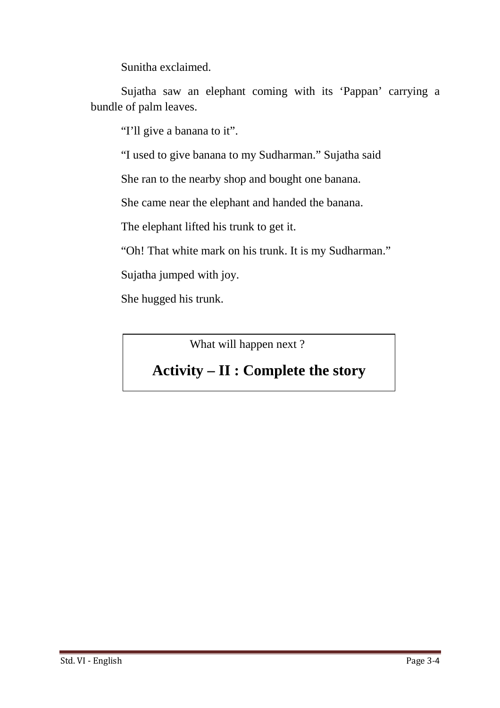Sunitha exclaimed.

Sujatha saw an elephant coming with its 'Pappan' carrying a bundle of palm leaves.

"I'll give a banana to it".

"I used to give banana to my Sudharman." Sujatha said

She ran to the nearby shop and bought one banana.

She came near the elephant and handed the banana.

The elephant lifted his trunk to get it.

"Oh! That white mark on his trunk. It is my Sudharman."

Sujatha jumped with joy.

She hugged his trunk.

What will happen next?

### **Activity – II : Complete the story**